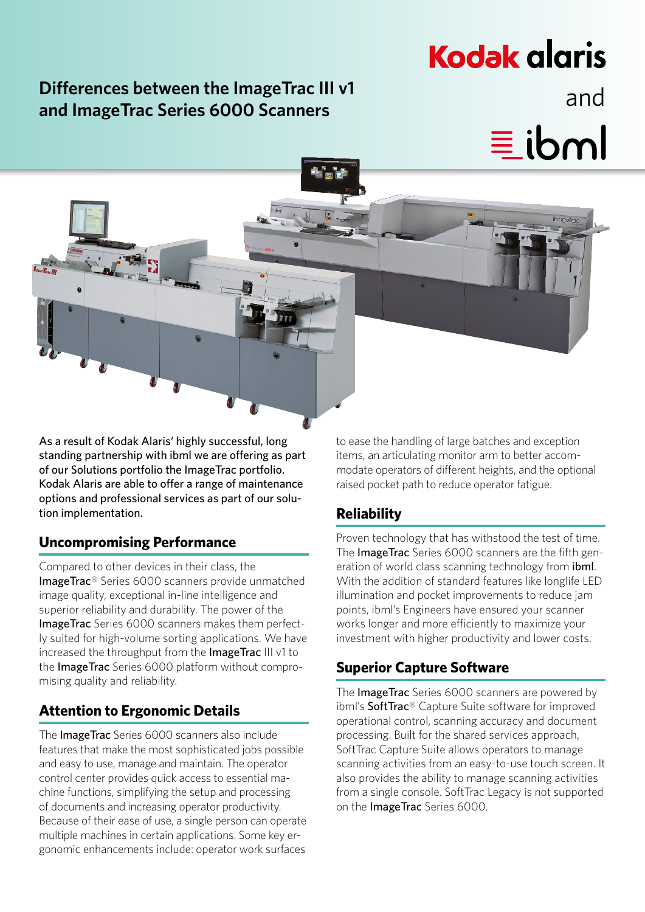# **Differences between the ImageTrac III v1** and **and ImageTrac Series 6000 Scanners**

# **Kodak glgris**

 $\equiv$  ibml

As a result of Kodak Alaris' highly successful, long standing partnership with ibml we are offering as part of our Solutions portfolio the ImageTrac portfolio. Kodak Alaris are able to offer a range of maintenance options and professional services as part of our solution implementation.

#### **Uncompromising Performance**

Compared to other devices in their class, the ImageTrac® Series 6000 scanners provide unmatched image quality, exceptional in-line intelligence and superior reliability and durability. The power of the ImageTrac Series 6000 scanners makes them perfectly suited for high-volume sorting applications. We have increased the throughput from the ImageTrac III v1 to the ImageTrac Series 6000 platform without compromising quality and reliability.

#### **Attention to Ergonomic Details**

The ImageTrac Series 6000 scanners also include features that make the most sophisticated jobs possible and easy to use, manage and maintain. The operator control center provides quick access to essential machine functions, simplifying the setup and processing of documents and increasing operator productivity. Because of their ease of use, a single person can operate multiple machines in certain applications. Some key ergonomic enhancements include: operator work surfaces

to ease the handling of large batches and exception items, an articulating monitor arm to better accommodate operators of different heights, and the optional raised pocket path to reduce operator fatigue.

#### **Reliability**

Proven technology that has withstood the test of time. The **ImageTrac** Series 6000 scanners are the fifth generation of world class scanning technology from *ibml*. With the addition of standard features like longlife LED illumination and pocket improvements to reduce jam points, ibml's Engineers have ensured your scanner works longer and more efficiently to maximize your investment with higher productivity and lower costs.

#### **Superior Capture Software**

The ImageTrac Series 6000 scanners are powered by ibml's SoftTrac® Capture Suite software for improved operational control, scanning accuracy and document processing. Built for the shared services approach, SoftTrac Capture Suite allows operators to manage scanning activities from an easy-to-use touch screen. It also provides the ability to manage scanning activities from a single console. SoftTrac Legacy is not supported on the ImageTrac Series 6000.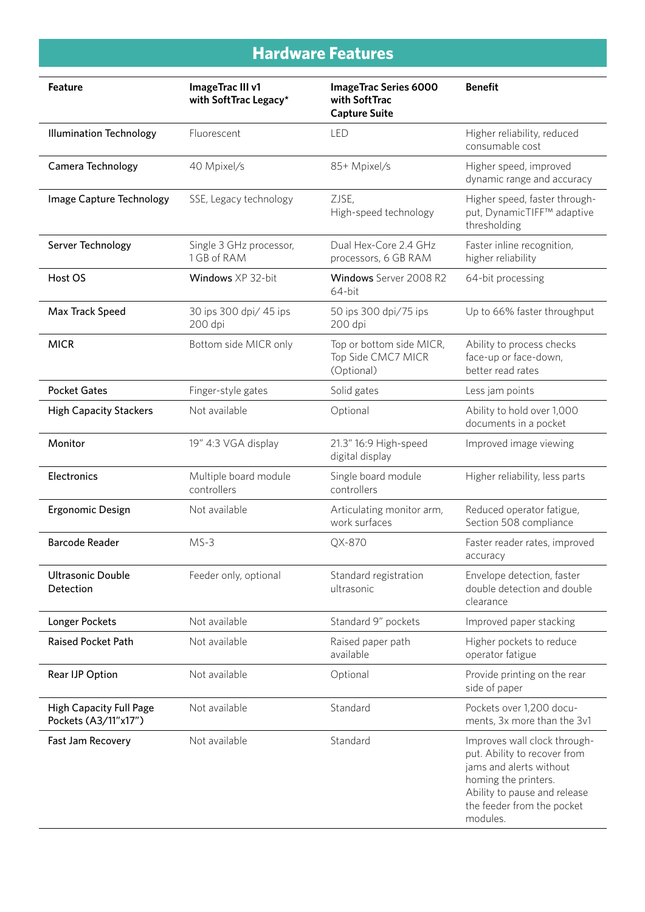# **Hardware Features**

| <b>Feature</b>                                         | ImageTrac III v1<br>with SoftTrac Legacy* | <b>ImageTrac Series 6000</b><br>with SoftTrac<br><b>Capture Suite</b> | <b>Benefit</b>                                                                                                                                                                            |
|--------------------------------------------------------|-------------------------------------------|-----------------------------------------------------------------------|-------------------------------------------------------------------------------------------------------------------------------------------------------------------------------------------|
| <b>Illumination Technology</b>                         | Fluorescent                               | <b>LED</b>                                                            | Higher reliability, reduced<br>consumable cost                                                                                                                                            |
| Camera Technology                                      | 40 Mpixel/s                               | 85+ Mpixel/s                                                          | Higher speed, improved<br>dynamic range and accuracy                                                                                                                                      |
| Image Capture Technology                               | SSE, Legacy technology                    | ZJSE,<br>High-speed technology                                        | Higher speed, faster through-<br>put, DynamicTIFF™ adaptive<br>thresholding                                                                                                               |
| Server Technology                                      | Single 3 GHz processor,<br>1 GB of RAM    | Dual Hex-Core 2.4 GHz<br>processors, 6 GB RAM                         | Faster inline recognition,<br>higher reliability                                                                                                                                          |
| Host OS                                                | Windows XP 32-bit                         | Windows Server 2008 R2<br>64-bit                                      | 64-bit processing                                                                                                                                                                         |
| Max Track Speed                                        | 30 ips 300 dpi/ 45 ips<br>200 dpi         | 50 ips 300 dpi/75 ips<br>200 dpi                                      | Up to 66% faster throughput                                                                                                                                                               |
| <b>MICR</b>                                            | Bottom side MICR only                     | Top or bottom side MICR,<br>Top Side CMC7 MICR<br>(Optional)          | Ability to process checks<br>face-up or face-down,<br>better read rates                                                                                                                   |
| <b>Pocket Gates</b>                                    | Finger-style gates                        | Solid gates                                                           | Less jam points                                                                                                                                                                           |
| <b>High Capacity Stackers</b>                          | Not available                             | Optional                                                              | Ability to hold over 1,000<br>documents in a pocket                                                                                                                                       |
| Monitor                                                | 19" 4:3 VGA display                       | 21.3" 16:9 High-speed<br>digital display                              | Improved image viewing                                                                                                                                                                    |
| Electronics                                            | Multiple board module<br>controllers      | Single board module<br>controllers                                    | Higher reliability, less parts                                                                                                                                                            |
| Ergonomic Design                                       | Not available                             | Articulating monitor arm,<br>work surfaces                            | Reduced operator fatigue,<br>Section 508 compliance                                                                                                                                       |
| <b>Barcode Reader</b>                                  | $MS-3$                                    | QX-870                                                                | Faster reader rates, improved<br>accuracy                                                                                                                                                 |
| <b>Ultrasonic Double</b><br>Detection                  | Feeder only, optional                     | Standard registration<br>ultrasonic                                   | Envelope detection, faster<br>double detection and double<br>clearance                                                                                                                    |
| Longer Pockets                                         | Not available                             | Standard 9" pockets                                                   | Improved paper stacking                                                                                                                                                                   |
| <b>Raised Pocket Path</b>                              | Not available                             | Raised paper path<br>available                                        | Higher pockets to reduce<br>operator fatigue                                                                                                                                              |
| Rear IJP Option                                        | Not available                             | Optional                                                              | Provide printing on the rear<br>side of paper                                                                                                                                             |
| <b>High Capacity Full Page</b><br>Pockets (A3/11"x17") | Not available                             | Standard                                                              | Pockets over 1,200 docu-<br>ments, 3x more than the 3v1                                                                                                                                   |
| Fast Jam Recovery                                      | Not available                             | Standard                                                              | Improves wall clock through-<br>put. Ability to recover from<br>jams and alerts without<br>homing the printers.<br>Ability to pause and release<br>the feeder from the pocket<br>modules. |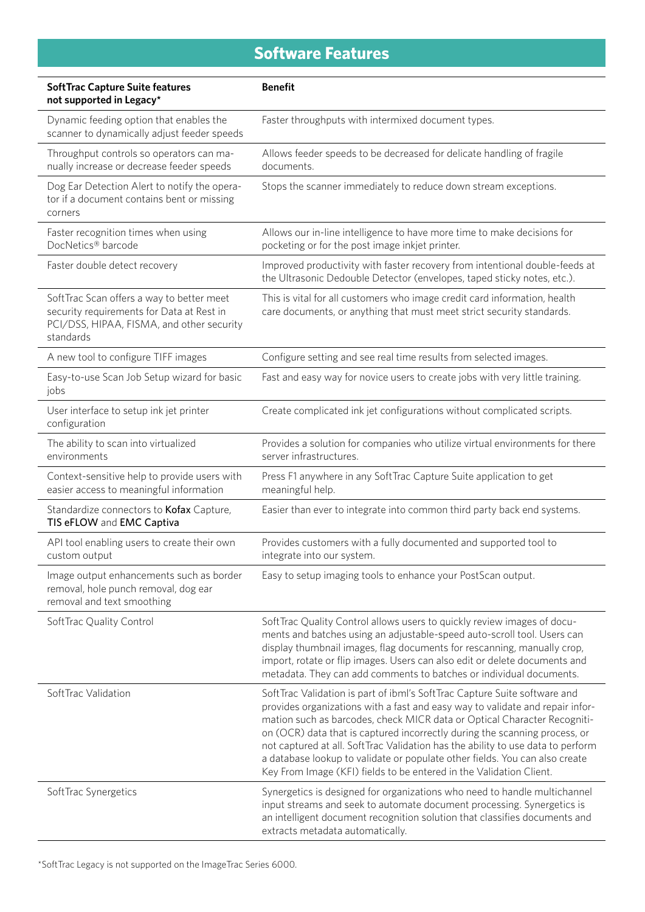# **Software Features**

| <b>SoftTrac Capture Suite features</b><br>not supported in Legacy*                                                                               | <b>Benefit</b>                                                                                                                                                                                                                                                                                                                                                                                                                                                                                                                                                |  |
|--------------------------------------------------------------------------------------------------------------------------------------------------|---------------------------------------------------------------------------------------------------------------------------------------------------------------------------------------------------------------------------------------------------------------------------------------------------------------------------------------------------------------------------------------------------------------------------------------------------------------------------------------------------------------------------------------------------------------|--|
| Dynamic feeding option that enables the<br>scanner to dynamically adjust feeder speeds                                                           | Faster throughputs with intermixed document types.                                                                                                                                                                                                                                                                                                                                                                                                                                                                                                            |  |
| Throughput controls so operators can ma-<br>nually increase or decrease feeder speeds                                                            | Allows feeder speeds to be decreased for delicate handling of fragile<br>documents.                                                                                                                                                                                                                                                                                                                                                                                                                                                                           |  |
| Dog Ear Detection Alert to notify the opera-<br>tor if a document contains bent or missing<br>corners                                            | Stops the scanner immediately to reduce down stream exceptions.                                                                                                                                                                                                                                                                                                                                                                                                                                                                                               |  |
| Faster recognition times when using<br>DocNetics® barcode                                                                                        | Allows our in-line intelligence to have more time to make decisions for<br>pocketing or for the post image inkjet printer.                                                                                                                                                                                                                                                                                                                                                                                                                                    |  |
| Faster double detect recovery                                                                                                                    | Improved productivity with faster recovery from intentional double-feeds at<br>the Ultrasonic Dedouble Detector (envelopes, taped sticky notes, etc.).                                                                                                                                                                                                                                                                                                                                                                                                        |  |
| SoftTrac Scan offers a way to better meet<br>security requirements for Data at Rest in<br>PCI/DSS, HIPAA, FISMA, and other security<br>standards | This is vital for all customers who image credit card information, health<br>care documents, or anything that must meet strict security standards.                                                                                                                                                                                                                                                                                                                                                                                                            |  |
| A new tool to configure TIFF images                                                                                                              | Configure setting and see real time results from selected images.                                                                                                                                                                                                                                                                                                                                                                                                                                                                                             |  |
| Easy-to-use Scan Job Setup wizard for basic<br>jobs                                                                                              | Fast and easy way for novice users to create jobs with very little training.                                                                                                                                                                                                                                                                                                                                                                                                                                                                                  |  |
| User interface to setup ink jet printer<br>configuration                                                                                         | Create complicated ink jet configurations without complicated scripts.                                                                                                                                                                                                                                                                                                                                                                                                                                                                                        |  |
| The ability to scan into virtualized<br>environments                                                                                             | Provides a solution for companies who utilize virtual environments for there<br>server infrastructures.                                                                                                                                                                                                                                                                                                                                                                                                                                                       |  |
| Context-sensitive help to provide users with<br>easier access to meaningful information                                                          | Press F1 anywhere in any SoftTrac Capture Suite application to get<br>meaningful help.                                                                                                                                                                                                                                                                                                                                                                                                                                                                        |  |
| Standardize connectors to Kofax Capture,<br>TIS eFLOW and EMC Captiva                                                                            | Easier than ever to integrate into common third party back end systems.                                                                                                                                                                                                                                                                                                                                                                                                                                                                                       |  |
| API tool enabling users to create their own<br>custom output                                                                                     | Provides customers with a fully documented and supported tool to<br>integrate into our system.                                                                                                                                                                                                                                                                                                                                                                                                                                                                |  |
| Image output enhancements such as border<br>removal, hole punch removal, dog ear<br>removal and text smoothing                                   | Easy to setup imaging tools to enhance your PostScan output.                                                                                                                                                                                                                                                                                                                                                                                                                                                                                                  |  |
| SoftTrac Quality Control                                                                                                                         | SoftTrac Quality Control allows users to quickly review images of docu-<br>ments and batches using an adjustable-speed auto-scroll tool. Users can<br>display thumbnail images, flag documents for rescanning, manually crop,<br>import, rotate or flip images. Users can also edit or delete documents and<br>metadata. They can add comments to batches or individual documents.                                                                                                                                                                            |  |
| SoftTrac Validation                                                                                                                              | SoftTrac Validation is part of ibml's SoftTrac Capture Suite software and<br>provides organizations with a fast and easy way to validate and repair infor-<br>mation such as barcodes, check MICR data or Optical Character Recogniti-<br>on (OCR) data that is captured incorrectly during the scanning process, or<br>not captured at all. SoftTrac Validation has the ability to use data to perform<br>a database lookup to validate or populate other fields. You can also create<br>Key From Image (KFI) fields to be entered in the Validation Client. |  |
| SoftTrac Synergetics                                                                                                                             | Synergetics is designed for organizations who need to handle multichannel<br>input streams and seek to automate document processing. Synergetics is<br>an intelligent document recognition solution that classifies documents and<br>extracts metadata automatically.                                                                                                                                                                                                                                                                                         |  |